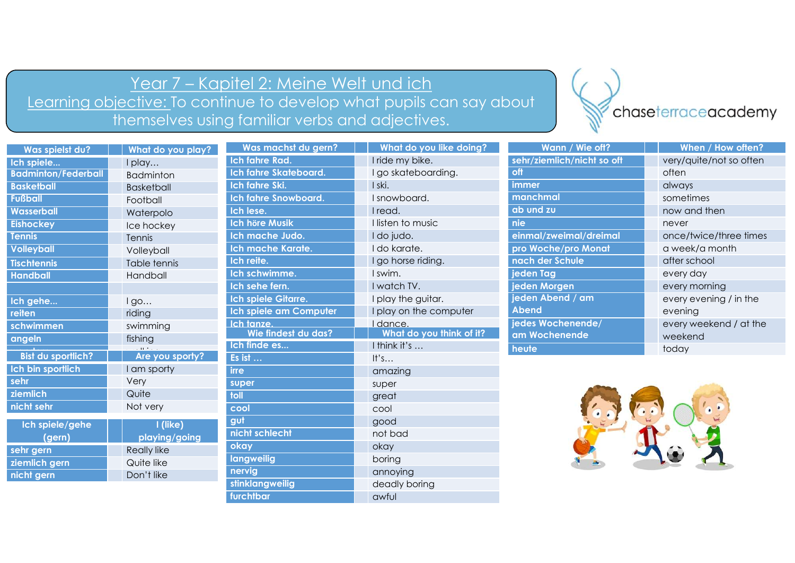## Year 7 – Kapitel 2: Meine Welt und ich<br><u>ctive: To continue to develop what pupils can say about</u><br>emselves using familiar verbs and adjectives. Learning objective: To continue to develop what pupils can say about<br>themselves using familiar verbs and adjectives themselves using familiar verbs and adjectives.

furchtbar awful



|                            |                            | <u>Year 7 – Kapitel 2: Meine Welt und ich</u>   |                                                                      |                            |                         |
|----------------------------|----------------------------|-------------------------------------------------|----------------------------------------------------------------------|----------------------------|-------------------------|
|                            |                            |                                                 |                                                                      |                            |                         |
|                            |                            |                                                 | Learning objective: To continue to develop what pupils can say about |                            | chaseterraceacademy     |
|                            |                            | themselves using familiar verbs and adjectives. |                                                                      |                            |                         |
| Was spielst du?            | What do you play?          | Was machst du gern?                             | What do you like doing?                                              | Wann / Wie oft?            | When / How often?       |
| Ich spiele                 | I play                     | Ich fahre Rad.                                  | I ride my bike.                                                      | sehr/ziemlich/nicht so oft | very/quite/not so often |
| <b>Badminton/Federball</b> | <b>Badminton</b>           | Ich fahre Skateboard.                           | I go skateboarding.                                                  | off                        | often                   |
| <b>Basketball</b>          | <b>Basketball</b>          | Ich fahre Ski.                                  | I ski.                                                               | immer                      | always                  |
| <b>Fußball</b>             | Football                   | <b>Ich fahre Snowboard.</b>                     | I snowboard.                                                         | manchmal                   | sometimes               |
| <b>Wasserball</b>          | Waterpolo                  | Ich lese.                                       | I read.                                                              | ab und zu                  | now and then            |
| <b>Eishockey</b>           | Ice hockey                 | <b>Ich höre Musik</b>                           | I listen to music                                                    | nie                        | never                   |
| <b>Tennis</b>              | Tennis                     | Ich mache Judo.                                 | I do judo.                                                           | einmal/zweimal/dreimal     | once/twice/three times  |
| <b>Volleyball</b>          | Volleyball                 | <b>Ich mache Karate.</b>                        | I do karate.                                                         | pro Woche/pro Monat        | a week/a month          |
| <b>Tischtennis</b>         | Table tennis               | Ich reite.                                      | I go horse riding.                                                   | nach der Schule            | after school            |
| <b>Handball</b>            | Handball                   | Ich schwimme.                                   | I swim.                                                              | jeden Tag                  | every day               |
|                            |                            | Ich sehe fern.                                  | I watch TV.                                                          | jeden Morgen               | every morning           |
| Ich gehe                   | $I$ go                     | Ich spiele Gitarre.                             | I play the guitar.                                                   | jeden Abend / am           | every evening / in the  |
| <b>reiten</b>              | riding                     | Ich spiele am Computer                          | I play on the computer                                               | Abend                      | evening                 |
| schwimmen                  | swimming                   | Ich tanze.                                      | I dance.                                                             | jedes Wochenende/          | every weekend / at the  |
| angeln                     | fishing                    | Wie findest du das?                             | What do you think of it?                                             | am Wochenende              | weekend                 |
| <b>Bist du sportlich?</b>  | $-11.2$<br>Are you sporty? | Ich finde es<br>Es ist                          | I think it's<br>$\mathsf{It}$ 's                                     | heute                      | today                   |
| Ich bin sportlich          | I am sporty                | irre                                            | amazing                                                              |                            |                         |
| sehr                       | Very                       | super                                           | super                                                                |                            |                         |
| ziemlich                   | Quite                      | <b>Ilot</b>                                     | great                                                                |                            |                         |
| nicht sehr                 | Not very                   | cool                                            | cool                                                                 |                            |                         |
|                            |                            | gut                                             | good                                                                 |                            |                         |
| Ich spiele/gehe<br>(gern)  | I (like)<br>playing/going  | nicht schlecht                                  | not bad                                                              |                            |                         |
| sehr gern                  | <b>Really like</b>         | okay                                            | okay                                                                 |                            |                         |
| ziemlich gern              | Quite like                 | <b>langweilig</b>                               | boring                                                               |                            |                         |
|                            | Don't like                 | nervig                                          | annoying                                                             |                            |                         |
| nicht gern                 |                            |                                                 |                                                                      |                            |                         |